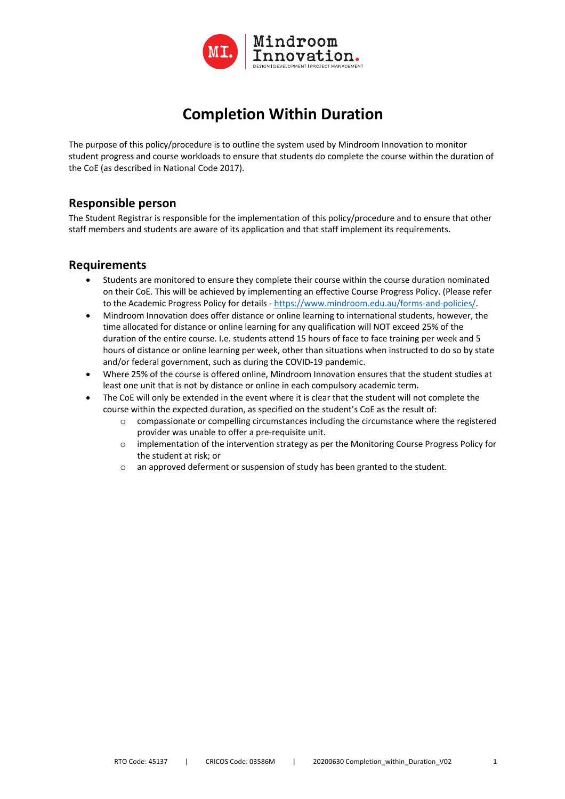

## **Completion Within Duration**

The purpose of this policy/procedure is to outline the system used by Mindroom Innovation to monitor student progress and course workloads to ensure that students do complete the course within the duration of the CoE (as described in National Code 2017).

## **Responsible person**

The Student Registrar is responsible for the implementation of this policy/procedure and to ensure that other staff members and students are aware of its application and that staff implement its requirements.

## **Requirements**

- Students are monitored to ensure they complete their course within the course duration nominated on their CoE. This will be achieved by implementing an effective Course Progress Policy. (Please refer to the Academic Progress Policy for details - https://www.mindroom.edu.au/forms-and-policies/.
- Mindroom Innovation does offer distance or online learning to international students, however, the time allocated for distance or online learning for any qualification will NOT exceed 25% of the duration of the entire course. I.e. students attend 15 hours of face to face training per week and 5 hours of distance or online learning per week, other than situations when instructed to do so by state and/or federal government, such as during the COVID-19 pandemic.
- Where 25% of the course is offered online, Mindroom Innovation ensures that the student studies at least one unit that is not by distance or online in each compulsory academic term.
- The CoE will only be extended in the event where it is clear that the student will not complete the course within the expected duration, as specified on the student's CoE as the result of:
	- $\circ$  compassionate or compelling circumstances including the circumstance where the registered provider was unable to offer a pre-requisite unit.
	- $\circ$  implementation of the intervention strategy as per the Monitoring Course Progress Policy for the student at risk; or
	- o an approved deferment or suspension of study has been granted to the student.